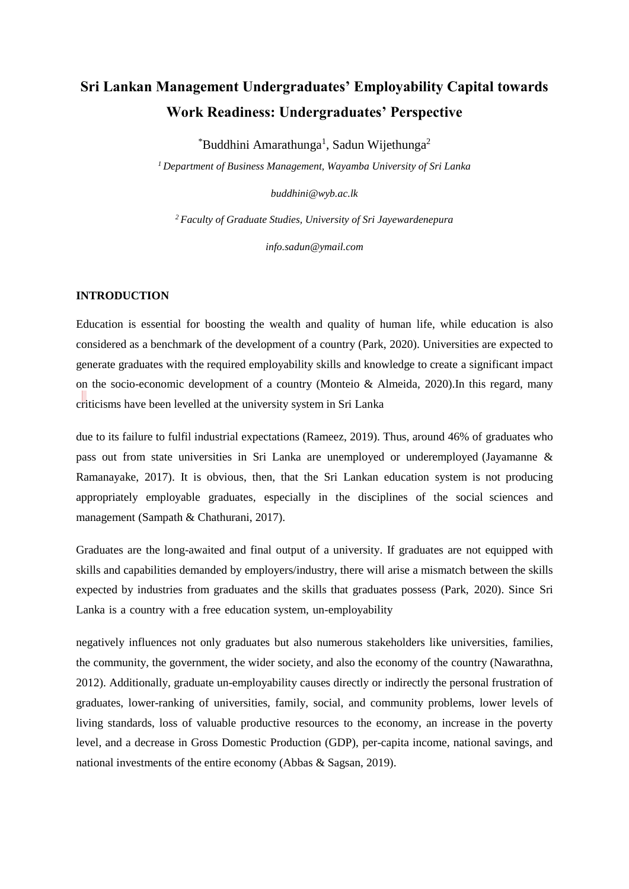# **Sri Lankan Management Undergraduates' Employability Capital towards Work Readiness: Undergraduates' Perspective**

 $^*$ Buddhini Amarathunga<sup>1</sup>, Sadun Wijethunga<sup>2</sup>

*<sup>1</sup>Department of Business Management, Wayamba University of Sri Lanka*

*buddhini@wyb.ac.lk*

*<sup>2</sup>Faculty of Graduate Studies, University of Sri Jayewardenepura* 

*info.sadun@ymail.com*

### **INTRODUCTION**

Education is essential for boosting the wealth and quality of human life, while education is also considered as a benchmark of the development of a country (Park, 2020). Universities are expected to generate graduates with the required employability skills and knowledge to create a significant impact on the socio-economic development of a country (Monteio & Almeida, 2020).In this regard, many criticisms have been levelled at the university system in Sri Lanka

due to its failure to fulfil industrial expectations (Rameez, 2019). Thus, around 46% of graduates who pass out from state universities in Sri Lanka are unemployed or underemployed (Jayamanne & Ramanayake, 2017). It is obvious, then, that the Sri Lankan education system is not producing appropriately employable graduates, especially in the disciplines of the social sciences and management (Sampath & Chathurani, 2017).

Graduates are the long-awaited and final output of a university. If graduates are not equipped with skills and capabilities demanded by employers/industry, there will arise a mismatch between the skills expected by industries from graduates and the skills that graduates possess (Park, 2020). Since Sri Lanka is a country with a free education system, un-employability

negatively influences not only graduates but also numerous stakeholders like universities, families, the community, the government, the wider society, and also the economy of the country (Nawarathna, 2012). Additionally, graduate un-employability causes directly or indirectly the personal frustration of graduates, lower-ranking of universities, family, social, and community problems, lower levels of living standards, loss of valuable productive resources to the economy, an increase in the poverty level, and a decrease in Gross Domestic Production (GDP), per-capita income, national savings, and national investments of the entire economy (Abbas & Sagsan, 2019).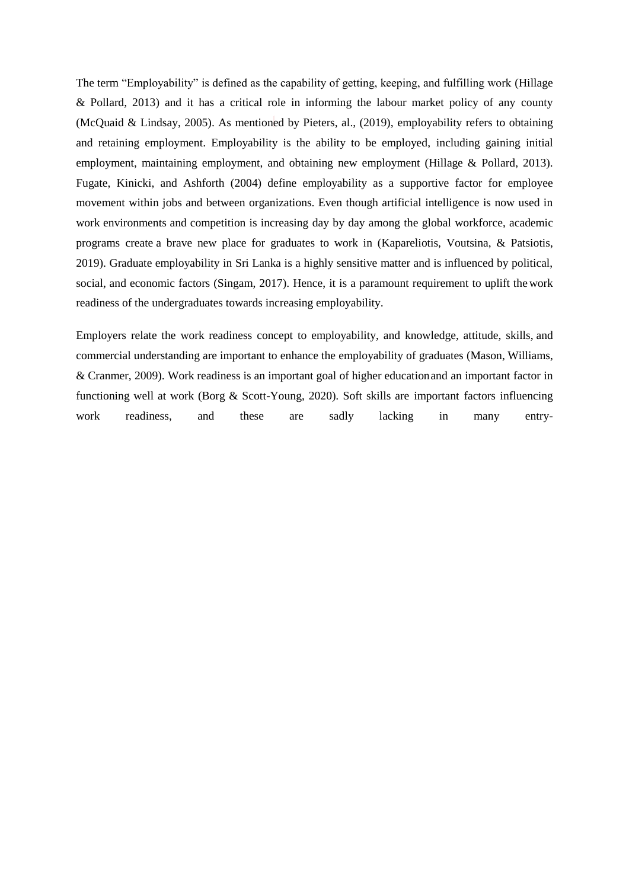The term "Employability" is defined as the capability of getting, keeping, and fulfilling work (Hillage & Pollard, 2013) and it has a critical role in informing the labour market policy of any county (McQuaid & Lindsay, 2005). As mentioned by Pieters, al., (2019), employability refers to obtaining and retaining employment. Employability is the ability to be employed, including gaining initial employment, maintaining employment, and obtaining new employment (Hillage & Pollard, 2013). Fugate, Kinicki, and Ashforth (2004) define employability as a supportive factor for employee movement within jobs and between organizations. Even though artificial intelligence is now used in work environments and competition is increasing day by day among the global workforce, academic programs create a brave new place for graduates to work in (Kapareliotis, Voutsina, & Patsiotis, 2019). Graduate employability in Sri Lanka is a highly sensitive matter and is influenced by political, social, and economic factors (Singam, 2017). Hence, it is a paramount requirement to uplift thework readiness of the undergraduates towards increasing employability.

Employers relate the work readiness concept to employability, and knowledge, attitude, skills, and commercial understanding are important to enhance the employability of graduates (Mason, Williams, & Cranmer, 2009). Work readiness is an important goal of higher educationand an important factor in functioning well at work (Borg & Scott-Young, 2020)*.* Soft skills are important factors influencing work readiness, and these are sadly lacking in many entry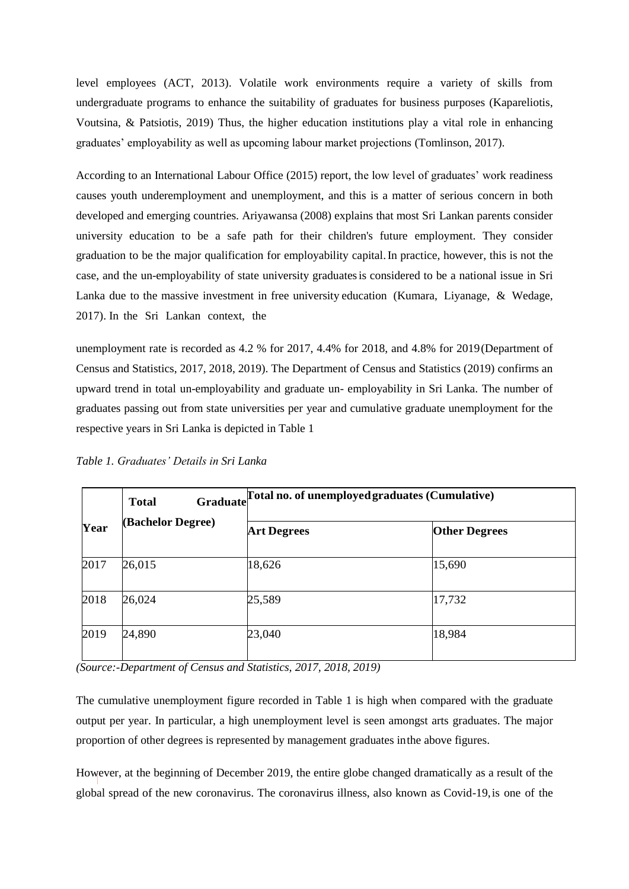level employees (ACT, 2013). Volatile work environments require a variety of skills from undergraduate programs to enhance the suitability of graduates for business purposes (Kapareliotis, Voutsina, & Patsiotis, 2019) Thus, the higher education institutions play a vital role in enhancing graduates' employability as well as upcoming labour market projections (Tomlinson, 2017).

According to an International Labour Office (2015) report, the low level of graduates' work readiness causes youth underemployment and unemployment, and this is a matter of serious concern in both developed and emerging countries. Ariyawansa (2008) explains that most Sri Lankan parents consider university education to be a safe path for their children's future employment. They consider graduation to be the major qualification for employability capital.In practice, however, this is not the case, and the un-employability of state university graduatesis considered to be a national issue in Sri Lanka due to the massive investment in free university education (Kumara, Liyanage, & Wedage, 2017). In the Sri Lankan context, the

unemployment rate is recorded as 4.2 % for 2017, 4.4% for 2018, and 4.8% for 2019(Department of Census and Statistics, 2017, 2018, 2019). The Department of Census and Statistics (2019) confirms an upward trend in total un-employability and graduate un- employability in Sri Lanka. The number of graduates passing out from state universities per year and cumulative graduate unemployment for the respective years in Sri Lanka is depicted in Table 1

| Year | Graduate<br><b>Total</b><br><b>(Bachelor Degree)</b> | Total no. of unemployed graduates (Cumulative) |                      |
|------|------------------------------------------------------|------------------------------------------------|----------------------|
|      |                                                      | <b>Art Degrees</b>                             | <b>Other Degrees</b> |
| 2017 | 26,015                                               | 18,626                                         | 15,690               |
| 2018 | 26,024                                               | 25,589                                         | 17,732               |
| 2019 | 24,890                                               | 23,040                                         | 18,984               |

*Table 1. Graduates' Details in Sri Lanka*

*(Source:-Department of Census and Statistics, 2017, 2018, 2019)*

The cumulative unemployment figure recorded in Table 1 is high when compared with the graduate output per year. In particular, a high unemployment level is seen amongst arts graduates. The major proportion of other degrees is represented by management graduates inthe above figures.

However, at the beginning of December 2019, the entire globe changed dramatically as a result of the global spread of the new coronavirus. The coronavirus illness, also known as Covid-19,is one of the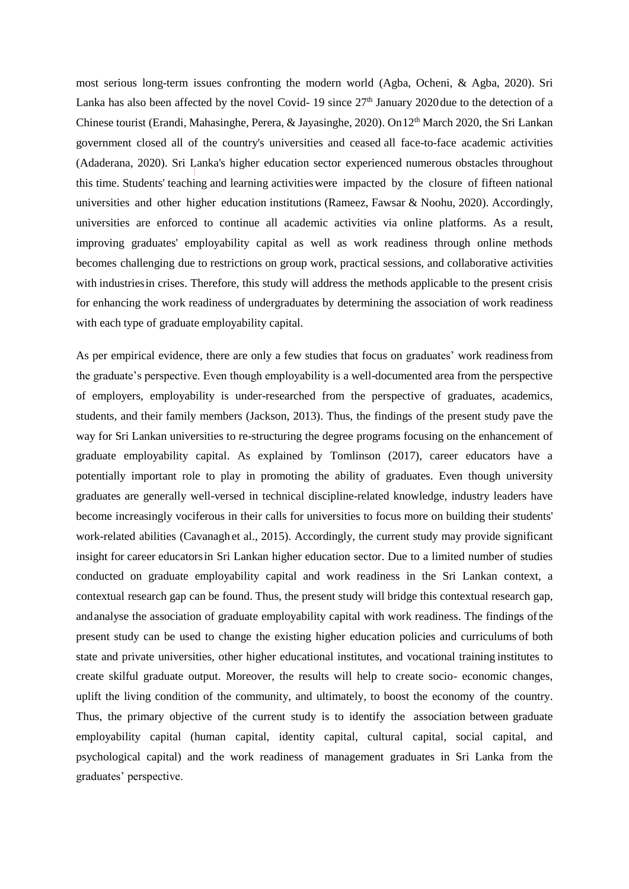most serious long-term issues confronting the modern world (Agba, Ocheni, & Agba, 2020). Sri Lanka has also been affected by the novel Covid- 19 since  $27<sup>th</sup>$  January 2020due to the detection of a Chinese tourist (Erandi, Mahasinghe, Perera, & Jayasinghe, 2020). On 12<sup>th</sup> March 2020, the Sri Lankan government closed all of the country's universities and ceased all face-to-face academic activities (Adaderana, 2020). Sri Lanka's higher education sector experienced numerous obstacles throughout this time. Students' teaching and learning activitieswere impacted by the closure of fifteen national universities and other higher education institutions (Rameez, Fawsar & Noohu, 2020). Accordingly, universities are enforced to continue all academic activities via online platforms. As a result, improving graduates' employability capital as well as work readiness through online methods becomes challenging due to restrictions on group work, practical sessions, and collaborative activities with industriesin crises. Therefore, this study will address the methods applicable to the present crisis for enhancing the work readiness of undergraduates by determining the association of work readiness with each type of graduate employability capital.

As per empirical evidence, there are only a few studies that focus on graduates' work readinessfrom the graduate's perspective. Even though employability is a well-documented area from the perspective of employers, employability is under-researched from the perspective of graduates, academics, students, and their family members (Jackson, 2013). Thus, the findings of the present study pave the way for Sri Lankan universities to re-structuring the degree programs focusing on the enhancement of graduate employability capital. As explained by Tomlinson (2017), career educators have a potentially important role to play in promoting the ability of graduates. Even though university graduates are generally well-versed in technical discipline-related knowledge, industry leaders have become increasingly vociferous in their calls for universities to focus more on building their students' work-related abilities (Cavanagh et al., 2015). Accordingly, the current study may provide significant insight for career educatorsin Sri Lankan higher education sector. Due to a limited number of studies conducted on graduate employability capital and work readiness in the Sri Lankan context, a contextual research gap can be found. Thus, the present study will bridge this contextual research gap, andanalyse the association of graduate employability capital with work readiness. The findings ofthe present study can be used to change the existing higher education policies and curriculums of both state and private universities, other higher educational institutes, and vocational training institutes to create skilful graduate output. Moreover, the results will help to create socio- economic changes, uplift the living condition of the community, and ultimately, to boost the economy of the country. Thus, the primary objective of the current study is to identify the association between graduate employability capital (human capital, identity capital, cultural capital, social capital, and psychological capital) and the work readiness of management graduates in Sri Lanka from the graduates' perspective.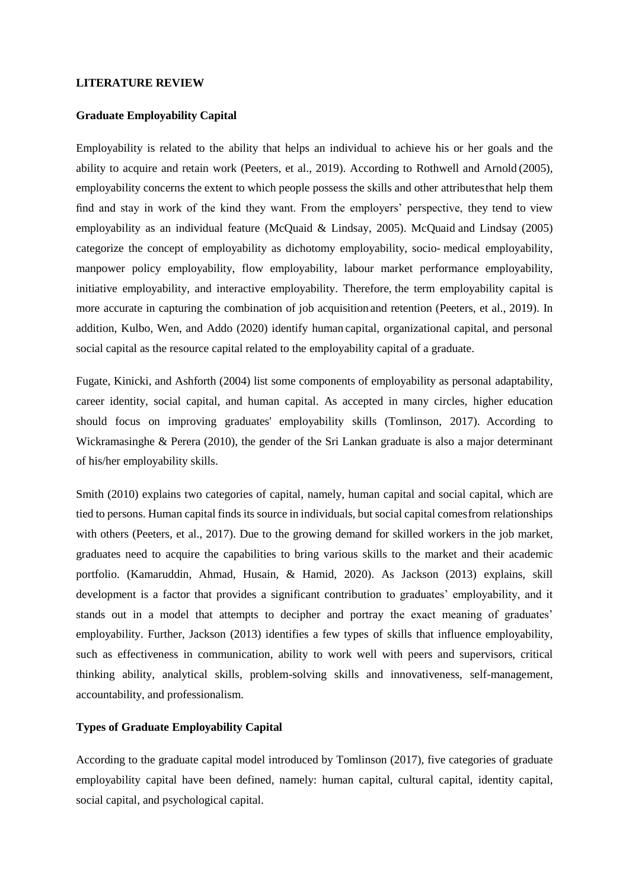#### **LITERATURE REVIEW**

#### **Graduate Employability Capital**

Employability is related to the ability that helps an individual to achieve his or her goals and the ability to acquire and retain work (Peeters, et al., 2019). According to Rothwell and Arnold (2005), employability concerns the extent to which people possess the skills and other attributesthat help them find and stay in work of the kind they want. From the employers' perspective, they tend to view employability as an individual feature (McQuaid & Lindsay, 2005). McQuaid and Lindsay (2005) categorize the concept of employability as dichotomy employability, socio- medical employability, manpower policy employability, flow employability, labour market performance employability, initiative employability, and interactive employability. Therefore, the term employability capital is more accurate in capturing the combination of job acquisition and retention (Peeters, et al., 2019). In addition, Kulbo, Wen, and Addo (2020) identify human capital, organizational capital, and personal social capital as the resource capital related to the employability capital of a graduate.

Fugate, Kinicki, and Ashforth (2004) list some components of employability as personal adaptability, career identity, social capital, and human capital. As accepted in many circles, higher education should focus on improving graduates' employability skills (Tomlinson, 2017). According to Wickramasinghe & Perera (2010), the gender of the Sri Lankan graduate is also a major determinant of his/her employability skills.

Smith (2010) explains two categories of capital, namely, human capital and social capital, which are tied to persons. Human capital finds its source in individuals, but social capital comesfrom relationships with others (Peeters, et al., 2017). Due to the growing demand for skilled workers in the job market, graduates need to acquire the capabilities to bring various skills to the market and their academic portfolio. (Kamaruddin, Ahmad, Husain, & Hamid, 2020). As Jackson (2013) explains, skill development is a factor that provides a significant contribution to graduates' employability, and it stands out in a model that attempts to decipher and portray the exact meaning of graduates' employability. Further, Jackson (2013) identifies a few types of skills that influence employability, such as effectiveness in communication, ability to work well with peers and supervisors, critical thinking ability, analytical skills, problem-solving skills and innovativeness, self-management, accountability, and professionalism.

### **Types of Graduate Employability Capital**

According to the graduate capital model introduced by Tomlinson (2017), five categories of graduate employability capital have been defined, namely: human capital, cultural capital, identity capital, social capital, and psychological capital.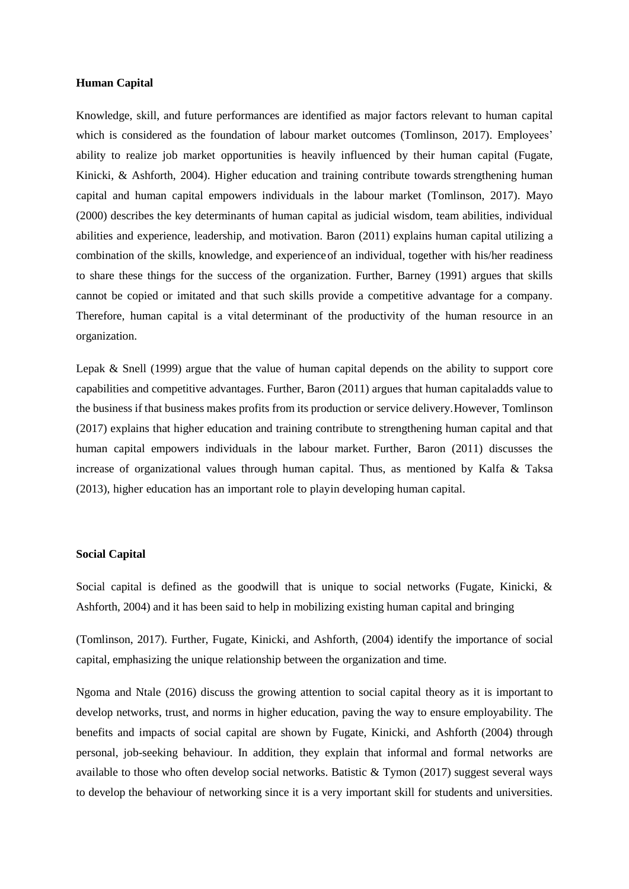#### **Human Capital**

Knowledge, skill, and future performances are identified as major factors relevant to human capital which is considered as the foundation of labour market outcomes (Tomlinson, 2017). Employees' ability to realize job market opportunities is heavily influenced by their human capital (Fugate, Kinicki, & Ashforth, 2004). Higher education and training contribute towards strengthening human capital and human capital empowers individuals in the labour market (Tomlinson, 2017). Mayo (2000) describes the key determinants of human capital as judicial wisdom, team abilities, individual abilities and experience, leadership, and motivation. Baron (2011) explains human capital utilizing a combination of the skills, knowledge, and experienceof an individual, together with his/her readiness to share these things for the success of the organization. Further, Barney (1991) argues that skills cannot be copied or imitated and that such skills provide a competitive advantage for a company. Therefore, human capital is a vital determinant of the productivity of the human resource in an organization.

Lepak & Snell (1999) argue that the value of human capital depends on the ability to support core capabilities and competitive advantages. Further, Baron (2011) argues that human capitaladds value to the business if that business makes profits from its production or service delivery.However, Tomlinson (2017) explains that higher education and training contribute to strengthening human capital and that human capital empowers individuals in the labour market. Further, Baron (2011) discusses the increase of organizational values through human capital. Thus, as mentioned by Kalfa & Taksa (2013), higher education has an important role to playin developing human capital.

#### **Social Capital**

Social capital is defined as the goodwill that is unique to social networks (Fugate, Kinicki, & Ashforth, 2004) and it has been said to help in mobilizing existing human capital and bringing

(Tomlinson, 2017). Further, Fugate, Kinicki, and Ashforth, (2004) identify the importance of social capital, emphasizing the unique relationship between the organization and time.

Ngoma and Ntale (2016) discuss the growing attention to social capital theory as it is important to develop networks, trust, and norms in higher education, paving the way to ensure employability. The benefits and impacts of social capital are shown by Fugate, Kinicki, and Ashforth (2004) through personal, job-seeking behaviour. In addition, they explain that informal and formal networks are available to those who often develop social networks. Batistic  $&$  Tymon (2017) suggest several ways to develop the behaviour of networking since it is a very important skill for students and universities.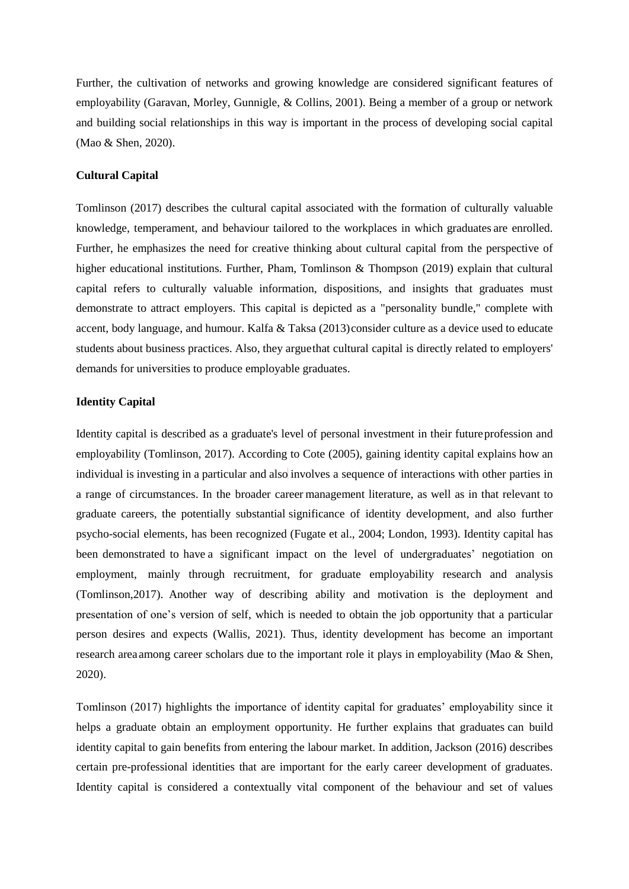Further, the cultivation of networks and growing knowledge are considered significant features of employability (Garavan, Morley, Gunnigle, & Collins, 2001). Being a member of a group or network and building social relationships in this way is important in the process of developing social capital (Mao & Shen, 2020).

#### **Cultural Capital**

Tomlinson (2017) describes the cultural capital associated with the formation of culturally valuable knowledge, temperament, and behaviour tailored to the workplaces in which graduates are enrolled. Further, he emphasizes the need for creative thinking about cultural capital from the perspective of higher educational institutions. Further, Pham, Tomlinson & Thompson (2019) explain that cultural capital refers to culturally valuable information, dispositions, and insights that graduates must demonstrate to attract employers. This capital is depicted as a "personality bundle," complete with accent, body language, and humour. Kalfa & Taksa (2013)consider culture as a device used to educate students about business practices. Also, they arguethat cultural capital is directly related to employers' demands for universities to produce employable graduates.

#### **Identity Capital**

Identity capital is described as a graduate's level of personal investment in their futureprofession and employability (Tomlinson, 2017). According to Cote (2005), gaining identity capital explains how an individual is investing in a particular and also involves a sequence of interactions with other parties in a range of circumstances. In the broader career management literature, as well as in that relevant to graduate careers, the potentially substantial significance of identity development, and also further psycho-social elements, has been recognized (Fugate et al., 2004; London, 1993). Identity capital has been demonstrated to have a significant impact on the level of undergraduates' negotiation on employment, mainly through recruitment, for graduate employability research and analysis (Tomlinson,2017). Another way of describing ability and motivation is the deployment and presentation of one's version of self, which is needed to obtain the job opportunity that a particular person desires and expects (Wallis, 2021). Thus, identity development has become an important research area among career scholars due to the important role it plays in employability (Mao & Shen, 2020).

Tomlinson (2017) highlights the importance of identity capital for graduates' employability since it helps a graduate obtain an employment opportunity. He further explains that graduates can build identity capital to gain benefits from entering the labour market. In addition, Jackson (2016) describes certain pre-professional identities that are important for the early career development of graduates. Identity capital is considered a contextually vital component of the behaviour and set of values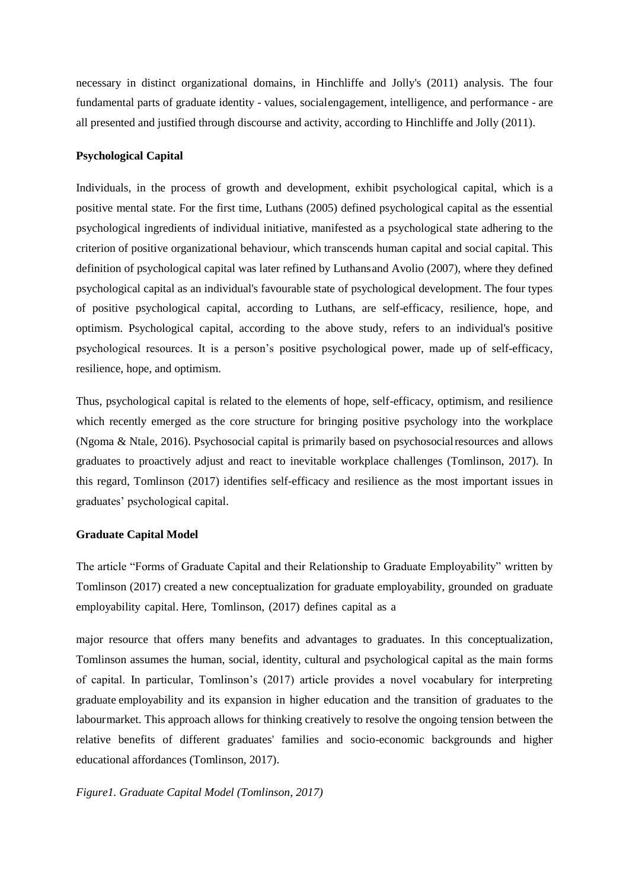necessary in distinct organizational domains, in Hinchliffe and Jolly's (2011) analysis. The four fundamental parts of graduate identity - values, socialengagement, intelligence, and performance - are all presented and justified through discourse and activity, according to Hinchliffe and Jolly (2011).

# **Psychological Capital**

Individuals, in the process of growth and development, exhibit psychological capital, which is a positive mental state. For the first time, Luthans (2005) defined psychological capital as the essential psychological ingredients of individual initiative, manifested as a psychological state adhering to the criterion of positive organizational behaviour, which transcends human capital and social capital. This definition of psychological capital was later refined by Luthansand Avolio (2007), where they defined psychological capital as an individual's favourable state of psychological development. The four types of positive psychological capital, according to Luthans, are self-efficacy, resilience, hope, and optimism. Psychological capital, according to the above study, refers to an individual's positive psychological resources. It is a person's positive psychological power, made up of self-efficacy, resilience, hope, and optimism.

Thus, psychological capital is related to the elements of hope, self-efficacy, optimism, and resilience which recently emerged as the core structure for bringing positive psychology into the workplace (Ngoma & Ntale, 2016). Psychosocial capital is primarily based on psychosocialresources and allows graduates to proactively adjust and react to inevitable workplace challenges (Tomlinson, 2017). In this regard, Tomlinson (2017) identifies self-efficacy and resilience as the most important issues in graduates' psychological capital.

#### **Graduate Capital Model**

The article "Forms of Graduate Capital and their Relationship to Graduate Employability" written by Tomlinson (2017) created a new conceptualization for graduate employability, grounded on graduate employability capital. Here, Tomlinson, (2017) defines capital as a

major resource that offers many benefits and advantages to graduates. In this conceptualization, Tomlinson assumes the human, social, identity, cultural and psychological capital as the main forms of capital. In particular, Tomlinson's (2017) article provides a novel vocabulary for interpreting graduate employability and its expansion in higher education and the transition of graduates to the labourmarket. This approach allows for thinking creatively to resolve the ongoing tension between the relative benefits of different graduates' families and socio-economic backgrounds and higher educational affordances (Tomlinson, 2017).

*Figure1. Graduate Capital Model (Tomlinson, 2017)*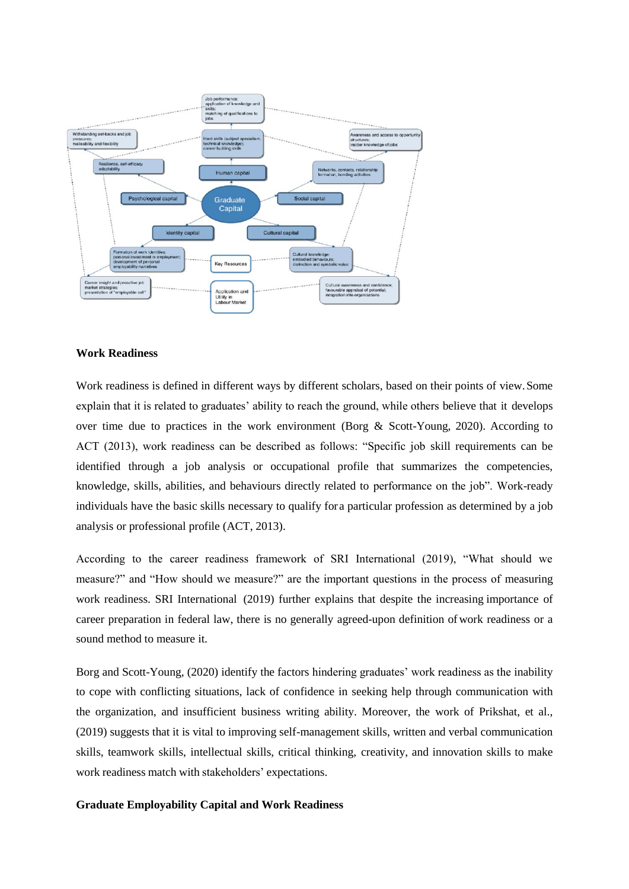

### **Work Readiness**

Work readiness is defined in different ways by different scholars, based on their points of view.Some explain that it is related to graduates' ability to reach the ground, while others believe that it develops over time due to practices in the work environment (Borg & Scott-Young, 2020). According to ACT (2013), work readiness can be described as follows: "Specific job skill requirements can be identified through a job analysis or occupational profile that summarizes the competencies, knowledge, skills, abilities, and behaviours directly related to performance on the job". Work-ready individuals have the basic skills necessary to qualify fora particular profession as determined by a job analysis or professional profile (ACT, 2013).

According to the career readiness framework of SRI International (2019), "What should we measure?" and "How should we measure?" are the important questions in the process of measuring work readiness. SRI International (2019) further explains that despite the increasing importance of career preparation in federal law, there is no generally agreed-upon definition of work readiness or a sound method to measure it.

Borg and Scott-Young, (2020) identify the factors hindering graduates' work readiness as the inability to cope with conflicting situations, lack of confidence in seeking help through communication with the organization, and insufficient business writing ability. Moreover, the work of Prikshat, et al., (2019) suggests that it is vital to improving self-management skills, written and verbal communication skills, teamwork skills, intellectual skills, critical thinking, creativity, and innovation skills to make work readiness match with stakeholders' expectations.

#### **Graduate Employability Capital and Work Readiness**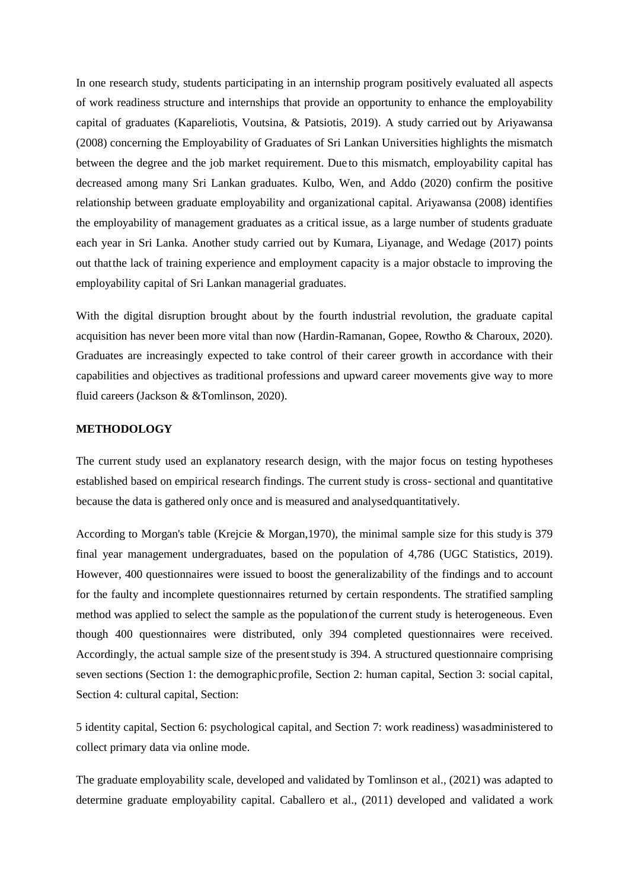In one research study, students participating in an internship program positively evaluated all aspects of work readiness structure and internships that provide an opportunity to enhance the employability capital of graduates (Kapareliotis, Voutsina, & Patsiotis, 2019). A study carried out by Ariyawansa (2008) concerning the Employability of Graduates of Sri Lankan Universities highlights the mismatch between the degree and the job market requirement. Due to this mismatch, employability capital has decreased among many Sri Lankan graduates. Kulbo, Wen, and Addo (2020) confirm the positive relationship between graduate employability and organizational capital. Ariyawansa (2008) identifies the employability of management graduates as a critical issue, as a large number of students graduate each year in Sri Lanka. Another study carried out by Kumara, Liyanage, and Wedage (2017) points out thatthe lack of training experience and employment capacity is a major obstacle to improving the employability capital of Sri Lankan managerial graduates.

With the digital disruption brought about by the fourth industrial revolution, the graduate capital acquisition has never been more vital than now (Hardin-Ramanan, Gopee, Rowtho & Charoux, 2020). Graduates are increasingly expected to take control of their career growth in accordance with their capabilities and objectives as traditional professions and upward career movements give way to more fluid careers (Jackson & &Tomlinson, 2020).

#### **METHODOLOGY**

The current study used an explanatory research design, with the major focus on testing hypotheses established based on empirical research findings. The current study is cross- sectional and quantitative because the data is gathered only once and is measured and analysedquantitatively.

According to Morgan's table (Krejcie & Morgan,1970), the minimal sample size for this study is 379 final year management undergraduates, based on the population of 4,786 (UGC Statistics, 2019). However, 400 questionnaires were issued to boost the generalizability of the findings and to account for the faulty and incomplete questionnaires returned by certain respondents. The stratified sampling method was applied to select the sample as the populationof the current study is heterogeneous. Even though 400 questionnaires were distributed, only 394 completed questionnaires were received. Accordingly, the actual sample size of the presentstudy is 394. A structured questionnaire comprising seven sections (Section 1: the demographic profile, Section 2: human capital, Section 3: social capital, Section 4: cultural capital, Section:

5 identity capital, Section 6: psychological capital, and Section 7: work readiness) wasadministered to collect primary data via online mode.

The graduate employability scale, developed and validated by Tomlinson et al., (2021) was adapted to determine graduate employability capital. Caballero et al., (2011) developed and validated a work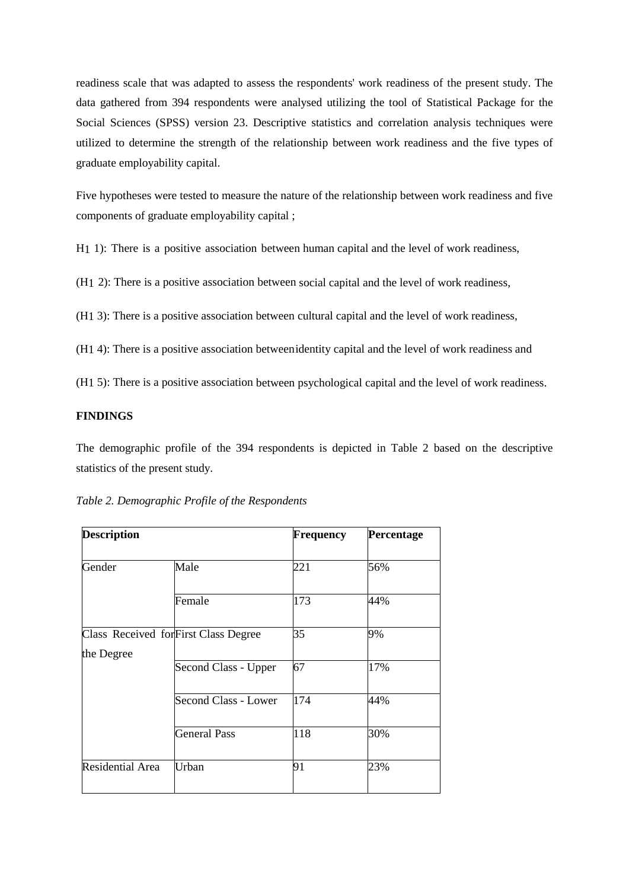readiness scale that was adapted to assess the respondents' work readiness of the present study. The data gathered from 394 respondents were analysed utilizing the tool of Statistical Package for the Social Sciences (SPSS) version 23. Descriptive statistics and correlation analysis techniques were utilized to determine the strength of the relationship between work readiness and the five types of graduate employability capital.

Five hypotheses were tested to measure the nature of the relationship between work readiness and five components of graduate employability capital ;

H1 1): There is a positive association between human capital and the level of work readiness,

(H1 2): There is a positive association between social capital and the level of work readiness,

(H1 3): There is a positive association between cultural capital and the level of work readiness,

(H1 4): There is a positive association betweenidentity capital and the level of work readiness and

(H1 5): There is a positive association between psychological capital and the level of work readiness.

## **FINDINGS**

The demographic profile of the 394 respondents is depicted in Table 2 based on the descriptive statistics of the present study.

|                             | <b>Frequency</b>                      | Percentage |
|-----------------------------|---------------------------------------|------------|
| Male                        | 221                                   | 56%        |
| Female                      | 173                                   | 44%        |
|                             | 35                                    | 9%         |
| Second Class - Upper        | 67                                    | 17%        |
| <b>Second Class - Lower</b> | 174                                   | 44%        |
| <b>General Pass</b>         | 118                                   | 30%        |
| Urban                       | 91                                    | 23%        |
|                             | Class Received for First Class Degree |            |

| Table 2. Demographic Profile of the Respondents |  |  |
|-------------------------------------------------|--|--|
|                                                 |  |  |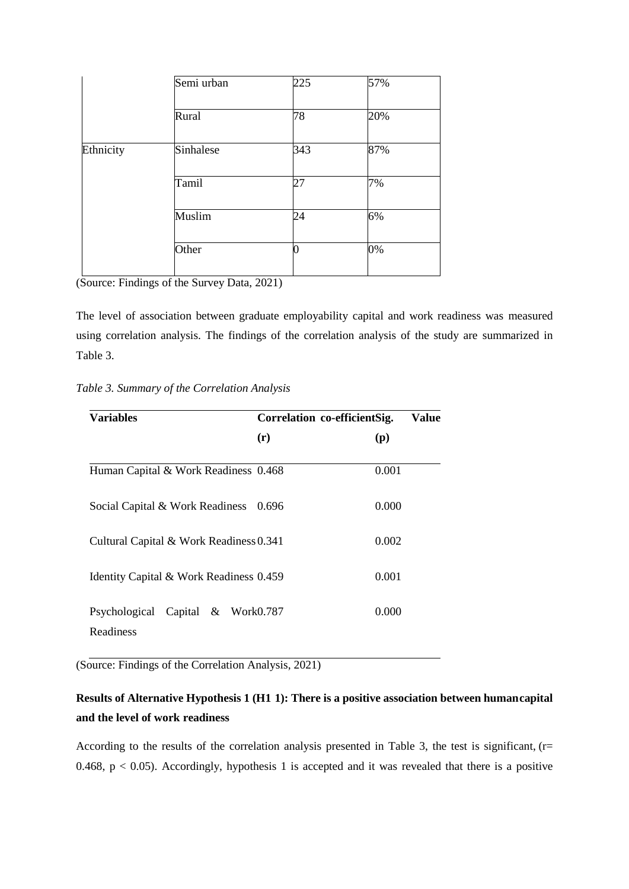| Semi urban | 225 | 57% |
|------------|-----|-----|
| Rural      | 78  | 20% |
| Sinhalese  | 343 | 87% |
| Tamil      | 27  | 7%  |
| Muslim     | 24  | 6%  |
| Other      |     | 0%  |
|            |     |     |

(Source: Findings of the Survey Data, 2021)

The level of association between graduate employability capital and work readiness was measured using correlation analysis. The findings of the correlation analysis of the study are summarized in Table 3.

## *Table 3. Summary of the Correlation Analysis*

| <b>Variables</b>                               | Correlation co-efficientSig. | Value |
|------------------------------------------------|------------------------------|-------|
|                                                | (r)                          | (p)   |
| Human Capital & Work Readiness 0.468           |                              | 0.001 |
| Social Capital & Work Readiness                | 0.696                        | 0.000 |
| Cultural Capital & Work Readiness 0.341        |                              | 0.002 |
| Identity Capital & Work Readiness 0.459        |                              | 0.001 |
| Psychological Capital & Work0.787<br>Readiness |                              | 0.000 |

(Source: Findings of the Correlation Analysis, 2021)

# **Results of Alternative Hypothesis 1 (H1 1): There is a positive association between humancapital and the level of work readiness**

According to the results of the correlation analysis presented in Table 3, the test is significant,  $(r=$ 0.468,  $p < 0.05$ ). Accordingly, hypothesis 1 is accepted and it was revealed that there is a positive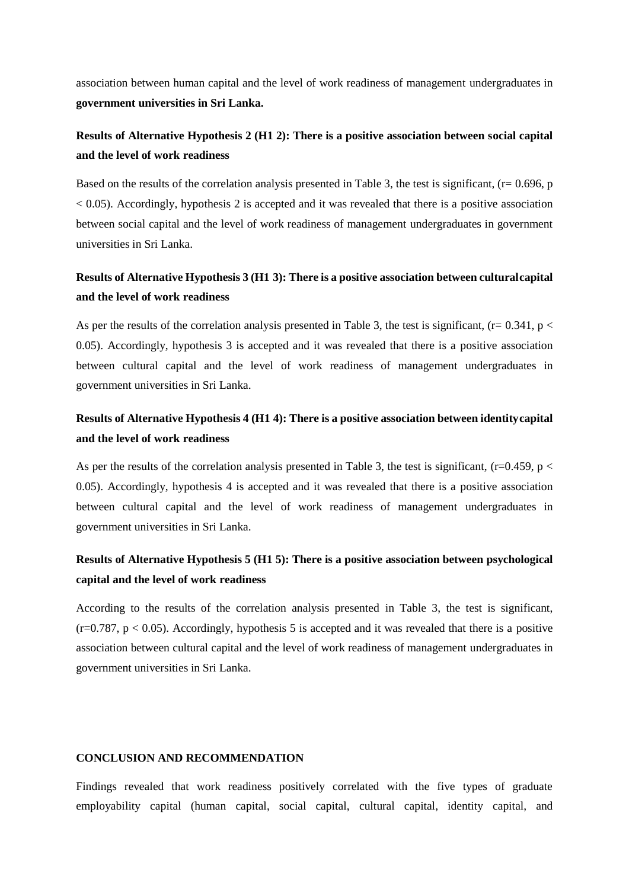association between human capital and the level of work readiness of management undergraduates in **government universities in Sri Lanka.**

# **Results of Alternative Hypothesis 2 (H1 2): There is a positive association between social capital and the level of work readiness**

Based on the results of the correlation analysis presented in Table 3, the test is significant, (r= 0.696, p  $< 0.05$ ). Accordingly, hypothesis 2 is accepted and it was revealed that there is a positive association between social capital and the level of work readiness of management undergraduates in government universities in Sri Lanka.

# **Results of Alternative Hypothesis 3 (H1 3): There is a positive association between culturalcapital and the level of work readiness**

As per the results of the correlation analysis presented in Table 3, the test is significant, ( $r= 0.341$ ,  $p <$ 0.05). Accordingly, hypothesis 3 is accepted and it was revealed that there is a positive association between cultural capital and the level of work readiness of management undergraduates in government universities in Sri Lanka.

# **Results of Alternative Hypothesis 4 (H1 4): There is a positive association between identitycapital and the level of work readiness**

As per the results of the correlation analysis presented in Table 3, the test is significant,  $(r=0.459, p <$ 0.05). Accordingly, hypothesis 4 is accepted and it was revealed that there is a positive association between cultural capital and the level of work readiness of management undergraduates in government universities in Sri Lanka.

# **Results of Alternative Hypothesis 5 (H1 5): There is a positive association between psychological capital and the level of work readiness**

According to the results of the correlation analysis presented in Table 3, the test is significant,  $(r=0.787, p < 0.05)$ . Accordingly, hypothesis 5 is accepted and it was revealed that there is a positive association between cultural capital and the level of work readiness of management undergraduates in government universities in Sri Lanka.

# **CONCLUSION AND RECOMMENDATION**

Findings revealed that work readiness positively correlated with the five types of graduate employability capital (human capital, social capital, cultural capital, identity capital, and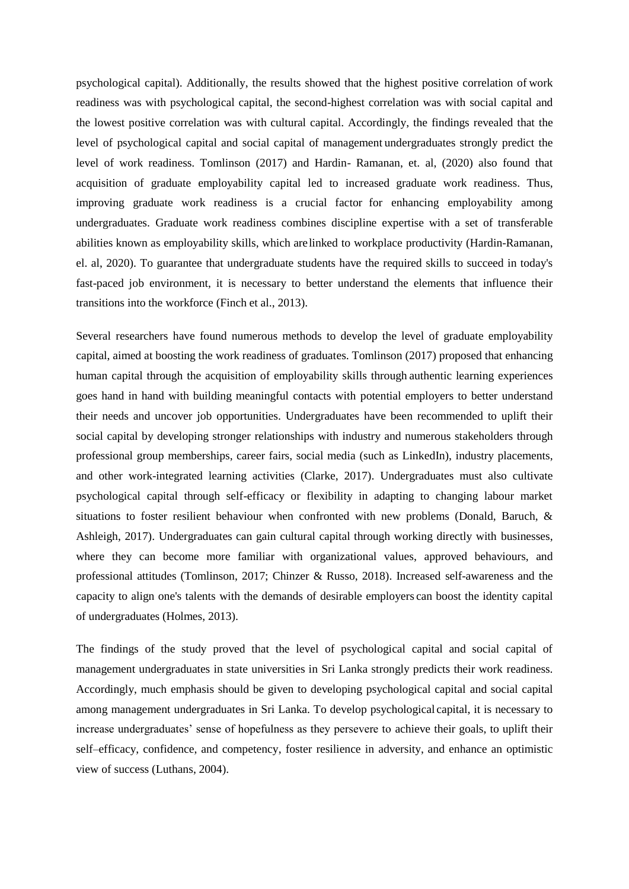psychological capital). Additionally, the results showed that the highest positive correlation of work readiness was with psychological capital, the second-highest correlation was with social capital and the lowest positive correlation was with cultural capital. Accordingly, the findings revealed that the level of psychological capital and social capital of management undergraduates strongly predict the level of work readiness. Tomlinson (2017) and Hardin- Ramanan, et. al, (2020) also found that acquisition of graduate employability capital led to increased graduate work readiness. Thus, improving graduate work readiness is a crucial factor for enhancing employability among undergraduates. Graduate work readiness combines discipline expertise with a set of transferable abilities known as employability skills, which arelinked to workplace productivity (Hardin-Ramanan, el. al, 2020). To guarantee that undergraduate students have the required skills to succeed in today's fast-paced job environment, it is necessary to better understand the elements that influence their transitions into the workforce (Finch et al., 2013).

Several researchers have found numerous methods to develop the level of graduate employability capital, aimed at boosting the work readiness of graduates. Tomlinson (2017) proposed that enhancing human capital through the acquisition of employability skills through authentic learning experiences goes hand in hand with building meaningful contacts with potential employers to better understand their needs and uncover job opportunities. Undergraduates have been recommended to uplift their social capital by developing stronger relationships with industry and numerous stakeholders through professional group memberships, career fairs, social media (such as LinkedIn), industry placements, and other work-integrated learning activities (Clarke, 2017). Undergraduates must also cultivate psychological capital through self-efficacy or flexibility in adapting to changing labour market situations to foster resilient behaviour when confronted with new problems (Donald, Baruch, & Ashleigh, 2017). Undergraduates can gain cultural capital through working directly with businesses, where they can become more familiar with organizational values, approved behaviours, and professional attitudes (Tomlinson, 2017; Chinzer & Russo, 2018). Increased self-awareness and the capacity to align one's talents with the demands of desirable employers can boost the identity capital of undergraduates (Holmes, 2013).

The findings of the study proved that the level of psychological capital and social capital of management undergraduates in state universities in Sri Lanka strongly predicts their work readiness. Accordingly, much emphasis should be given to developing psychological capital and social capital among management undergraduates in Sri Lanka. To develop psychological capital, it is necessary to increase undergraduates' sense of hopefulness as they persevere to achieve their goals, to uplift their self–efficacy, confidence, and competency, foster resilience in adversity, and enhance an optimistic view of success (Luthans, 2004).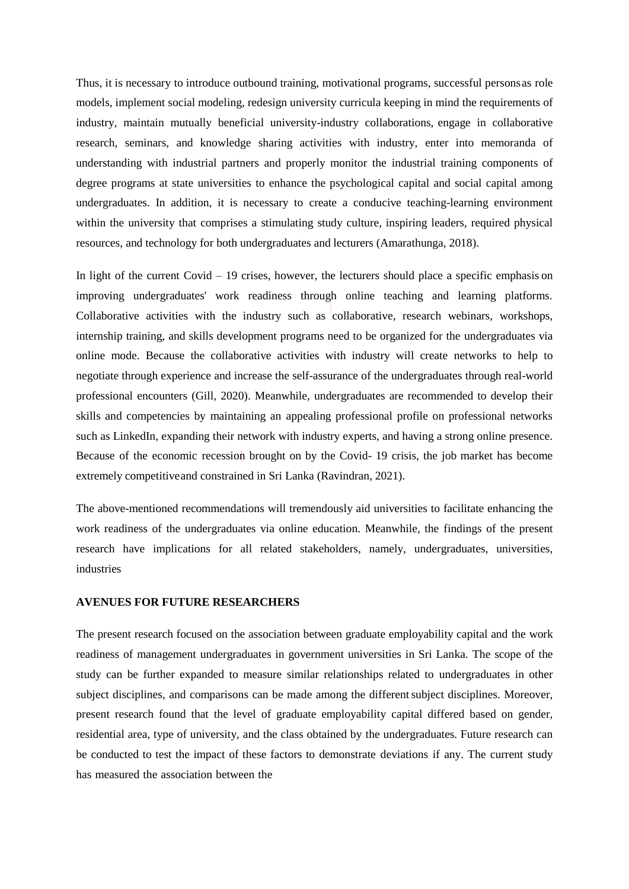Thus, it is necessary to introduce outbound training, motivational programs, successful personsas role models, implement social modeling, redesign university curricula keeping in mind the requirements of industry, maintain mutually beneficial university-industry collaborations, engage in collaborative research, seminars, and knowledge sharing activities with industry, enter into memoranda of understanding with industrial partners and properly monitor the industrial training components of degree programs at state universities to enhance the psychological capital and social capital among undergraduates. In addition, it is necessary to create a conducive teaching-learning environment within the university that comprises a stimulating study culture, inspiring leaders, required physical resources, and technology for both undergraduates and lecturers (Amarathunga, 2018).

In light of the current Covid – 19 crises, however, the lecturers should place a specific emphasis on improving undergraduates' work readiness through online teaching and learning platforms. Collaborative activities with the industry such as collaborative, research webinars, workshops, internship training, and skills development programs need to be organized for the undergraduates via online mode. Because the collaborative activities with industry will create networks to help to negotiate through experience and increase the self-assurance of the undergraduates through real-world professional encounters (Gill, 2020). Meanwhile, undergraduates are recommended to develop their skills and competencies by maintaining an appealing professional profile on professional networks such as LinkedIn, expanding their network with industry experts, and having a strong online presence. Because of the economic recession brought on by the Covid- 19 crisis, the job market has become extremely competitiveand constrained in Sri Lanka (Ravindran, 2021).

The above-mentioned recommendations will tremendously aid universities to facilitate enhancing the work readiness of the undergraduates via online education. Meanwhile, the findings of the present research have implications for all related stakeholders, namely, undergraduates, universities, industries

#### **AVENUES FOR FUTURE RESEARCHERS**

The present research focused on the association between graduate employability capital and the work readiness of management undergraduates in government universities in Sri Lanka. The scope of the study can be further expanded to measure similar relationships related to undergraduates in other subject disciplines, and comparisons can be made among the different subject disciplines. Moreover, present research found that the level of graduate employability capital differed based on gender, residential area, type of university, and the class obtained by the undergraduates. Future research can be conducted to test the impact of these factors to demonstrate deviations if any. The current study has measured the association between the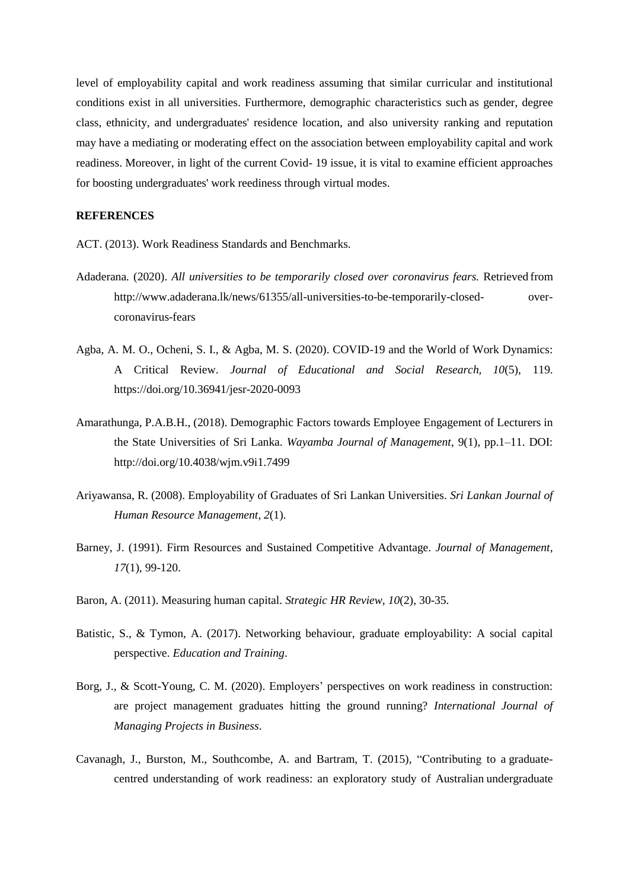level of employability capital and work readiness assuming that similar curricular and institutional conditions exist in all universities. Furthermore, demographic characteristics such as gender, degree class, ethnicity, and undergraduates' residence location, and also university ranking and reputation may have a mediating or moderating effect on the association between employability capital and work readiness. Moreover, in light of the current Covid- 19 issue, it is vital to examine efficient approaches for boosting undergraduates' work reediness through virtual modes.

# **REFERENCES**

ACT. (2013). Work Readiness Standards and Benchmarks.

- Adaderana*.* (2020). *All universities to be temporarily closed over coronavirus fears.* Retrieved from <http://www.adaderana.lk/news/61355/all-universities-to-be-temporarily-closed-> overcoronavirus-fears
- Agba, A. M. O., Ocheni, S. I., & Agba, M. S. (2020). COVID-19 and the World of Work Dynamics: A Critical Review. *Journal of Educational and Social Research, 10*(5), 119. https://doi.org/10.36941/jesr-2020-0093
- Amarathunga, P.A.B.H., (2018). Demographic Factors towards Employee Engagement of Lecturers in the State Universities of Sri Lanka. *Wayamba Journal of Management*, 9(1), pp.1–11. DOI: <http://doi.org/10.4038/wjm.v9i1.7499>
- Ariyawansa, R. (2008). Employability of Graduates of Sri Lankan Universities. *Sri Lankan Journal of Human Resource Management, 2*(1).
- Barney, J. (1991). Firm Resources and Sustained Competitive Advantage. *Journal of Management, 17*(1), 99-120.
- Baron, A. (2011). Measuring human capital. *Strategic HR Review, 10*(2), 30-35.
- Batistic, S., & Tymon, A. (2017). Networking behaviour, graduate employability: A social capital perspective. *Education and Training*.
- Borg, J., & Scott-Young, C. M. (2020). Employers' perspectives on work readiness in construction: are project management graduates hitting the ground running? *International Journal of Managing Projects in Business*.
- Cavanagh, J., Burston, M., Southcombe, A. and Bartram, T. (2015), "Contributing to a graduatecentred understanding of work readiness: an exploratory study of Australian undergraduate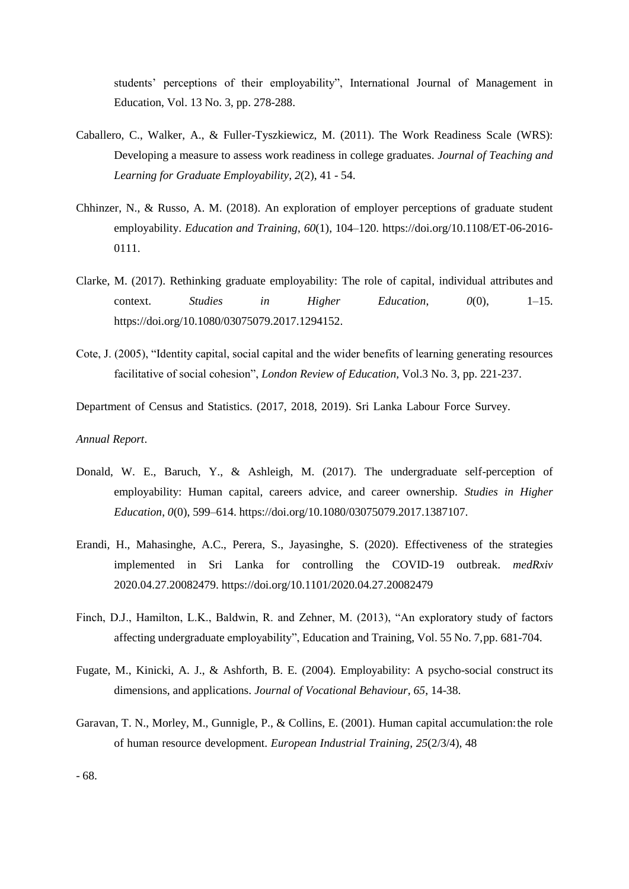students' perceptions of their employability", International Journal of Management in Education, Vol. 13 No. 3, pp. 278-288.

- Caballero, C., Walker, A., & Fuller-Tyszkiewicz, M. (2011). The Work Readiness Scale (WRS): Developing a measure to assess work readiness in college graduates. *Journal of Teaching and Learning for Graduate Employability, 2*(2), 41 - 54.
- Chhinzer, N., & Russo, A. M. (2018). An exploration of employer perceptions of graduate student employability. *Education and Training*, *60*(1), 104–120. https://doi.org/10.1108/ET-06-2016- 0111.
- Clarke, M. (2017). Rethinking graduate employability: The role of capital, individual attributes and context. *Studies in Higher Education*, *0*(0), 1–15. https://doi.org/10.1080/03075079.2017.1294152.
- Cote, J. (2005), "Identity capital, social capital and the wider benefits of learning generating resources facilitative of social cohesion", *London Review of Education,* Vol.3 No. 3, pp. 221-237.
- Department of Census and Statistics. (2017, 2018, 2019). Sri Lanka Labour Force Survey.

#### *Annual Report*.

- Donald, W. E., Baruch, Y., & Ashleigh, M. (2017). The undergraduate self-perception of employability: Human capital, careers advice, and career ownership. *Studies in Higher Education*, *0*(0), 599–614. https://doi.org/10.1080/03075079.2017.1387107.
- Erandi, H., Mahasinghe, A.C., Perera, S., Jayasinghe, S. (2020). Effectiveness of the strategies implemented in Sri Lanka for controlling the COVID-19 outbreak. *medRxiv* 2020.04.27.20082479. https://doi.org/10.1101/2020.04.27.20082479
- Finch, D.J., Hamilton, L.K., Baldwin, R. and Zehner, M. (2013), "An exploratory study of factors affecting undergraduate employability", Education and Training, Vol. 55 No. 7,pp. 681-704.
- Fugate, M., Kinicki, A. J., & Ashforth, B. E. (2004). Employability: A psycho-social construct its dimensions, and applications. *Journal of Vocational Behaviour, 65*, 14-38.
- Garavan, T. N., Morley, M., Gunnigle, P., & Collins, E. (2001). Human capital accumulation:the role of human resource development. *European Industrial Training, 25*(2/3/4), 48

- 68.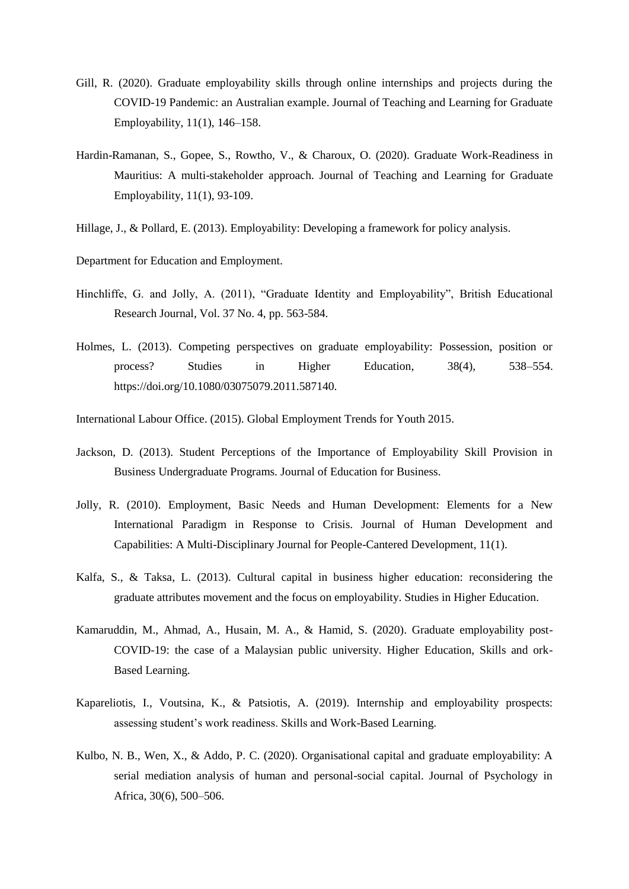- Gill, R. (2020). Graduate employability skills through online internships and projects during the COVID-19 Pandemic: an Australian example. Journal of Teaching and Learning for Graduate Employability, 11(1), 146–158.
- Hardin-Ramanan, S., Gopee, S., Rowtho, V., & Charoux, O. (2020). Graduate Work-Readiness in Mauritius: A multi-stakeholder approach. Journal of Teaching and Learning for Graduate Employability, 11(1), 93-109.
- Hillage, J., & Pollard, E. (2013). Employability: Developing a framework for policy analysis.
- Department for Education and Employment.
- Hinchliffe, G. and Jolly, A. (2011), "Graduate Identity and Employability", British Educational Research Journal, Vol. 37 No. 4, pp. 563-584.
- Holmes, L. (2013). Competing perspectives on graduate employability: Possession, position or process? Studies in Higher Education, 38(4), 538–554. https://doi.org/10.1080/03075079.2011.587140.
- International Labour Office. (2015). Global Employment Trends for Youth 2015.
- Jackson, D. (2013). Student Perceptions of the Importance of Employability Skill Provision in Business Undergraduate Programs. Journal of Education for Business.
- Jolly, R. (2010). Employment, Basic Needs and Human Development: Elements for a New International Paradigm in Response to Crisis. Journal of Human Development and Capabilities: A Multi-Disciplinary Journal for People-Cantered Development, 11(1).
- Kalfa, S., & Taksa, L. (2013). Cultural capital in business higher education: reconsidering the graduate attributes movement and the focus on employability. Studies in Higher Education.
- Kamaruddin, M., Ahmad, A., Husain, M. A., & Hamid, S. (2020). Graduate employability post-COVID-19: the case of a Malaysian public university. Higher Education, Skills and ork-Based Learning.
- Kapareliotis, I., Voutsina, K., & Patsiotis, A. (2019). Internship and employability prospects: assessing student's work readiness. Skills and Work-Based Learning.
- Kulbo, N. B., Wen, X., & Addo, P. C. (2020). Organisational capital and graduate employability: A serial mediation analysis of human and personal-social capital. Journal of Psychology in Africa, 30(6), 500–506.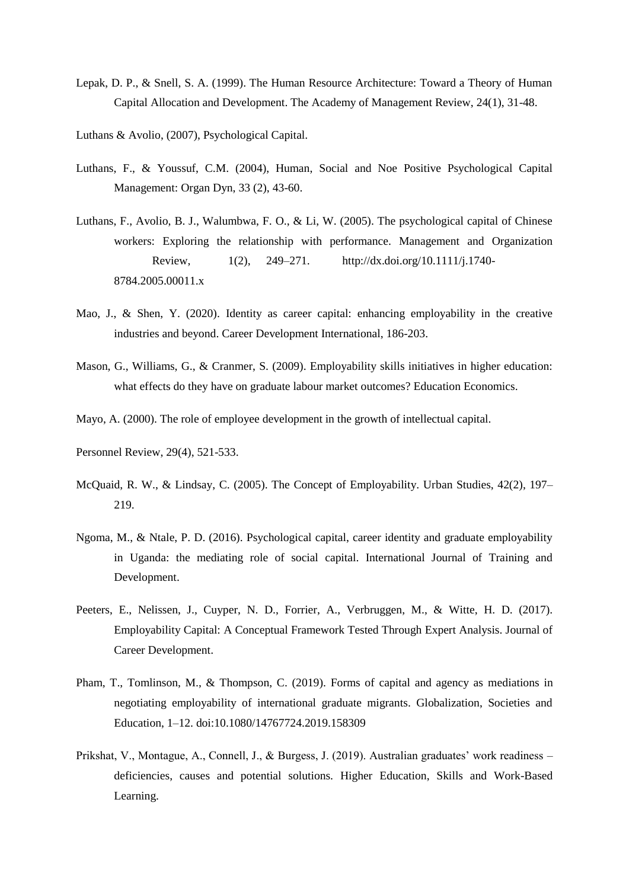- Lepak, D. P., & Snell, S. A. (1999). The Human Resource Architecture: Toward a Theory of Human Capital Allocation and Development. The Academy of Management Review, 24(1), 31-48.
- Luthans & Avolio, (2007), Psychological Capital.
- Luthans, F., & Youssuf, C.M. (2004), Human, Social and Noe Positive Psychological Capital Management: Organ Dyn, 33 (2), 43-60.
- Luthans, F., Avolio, B. J., Walumbwa, F. O., & Li, W. (2005). The psychological capital of Chinese workers: Exploring the relationship with performance. Management and Organization Review, 1(2), 249–271. <http://dx.doi.org/10.1111/j.1740-> 8784.2005.00011.x
- Mao, J., & Shen, Y. (2020). Identity as career capital: enhancing employability in the creative industries and beyond. Career Development International, 186-203.
- Mason, G., Williams, G., & Cranmer, S. (2009). Employability skills initiatives in higher education: what effects do they have on graduate labour market outcomes? Education Economics.
- Mayo, A. (2000). The role of employee development in the growth of intellectual capital.
- Personnel Review, 29(4), 521-533.
- McQuaid, R. W., & Lindsay, C. (2005). The Concept of Employability. Urban Studies, 42(2), 197– 219.
- Ngoma, M., & Ntale, P. D. (2016). Psychological capital, career identity and graduate employability in Uganda: the mediating role of social capital. International Journal of Training and Development.
- Peeters, E., Nelissen, J., Cuyper, N. D., Forrier, A., Verbruggen, M., & Witte, H. D. (2017). Employability Capital: A Conceptual Framework Tested Through Expert Analysis. Journal of Career Development.
- Pham, T., Tomlinson, M., & Thompson, C. (2019). Forms of capital and agency as mediations in negotiating employability of international graduate migrants. Globalization, Societies and Education, 1–12. doi:10.1080/14767724.2019.158309
- Prikshat, V., Montague, A., Connell, J., & Burgess, J. (2019). Australian graduates' work readiness deficiencies, causes and potential solutions. Higher Education, Skills and Work-Based Learning.